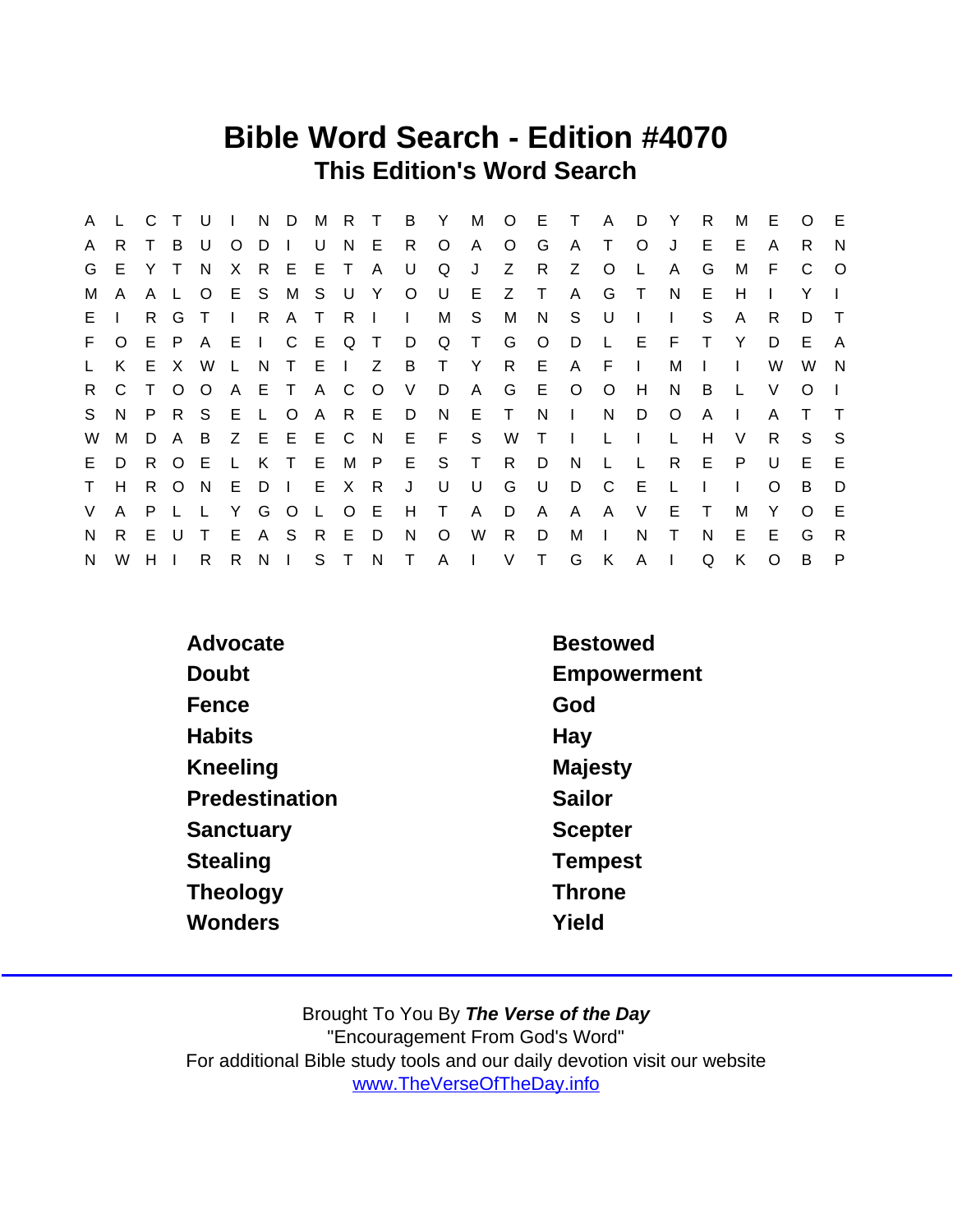## Bible Word Search - Edition #4070 This Edition's Word Search

| A  |              | C T         |              | - U          | $\Box$         |          |        | N D M R T   |         |         | $\overline{B}$ |         | Y M O E T    |                 |              |              | A D Y        |               |              | R            | м            | E        | $\circ$  | -E      |
|----|--------------|-------------|--------------|--------------|----------------|----------|--------|-------------|---------|---------|----------------|---------|--------------|-----------------|--------------|--------------|--------------|---------------|--------------|--------------|--------------|----------|----------|---------|
| A  | R            |             | B            | U            | O              | D        | $\Box$ | U           | N E     |         | R              | $\circ$ | $\mathsf{A}$ | $\circ$         | G            | A            | $\top$       | $\circ$       | J            | Е            | E            | A        | R.       | N       |
| G  | E.           | Y T         |              | <sup>N</sup> | X              |          | R E    |             | E T     | A       | U              | Q       | J            | Z               | $\mathsf{R}$ | Z            | $\circ$      | L             | A            | G            | м            | F        | C        | $\circ$ |
| м  | $\mathsf{A}$ |             | A L          | $\circ$      |                |          |        | E S M S U Y |         |         | $\circ$        | U       | E.           | Z               | $\top$       | $\mathsf{A}$ | G            | $\top$        | N            | Е            | н            |          | Y        |         |
| E. |              | R.          | G            | $\top$       | $\mathbb{R}^n$ | R.       | A T    |             | - R     | $\Box$  | $\mathbf{L}$   | М       | S.           | M               | N            | S.           | U            | $\mathbf{I}$  | $\mathbf{L}$ | S            | A            | R.       | D        | $\top$  |
| F. | $\circ$      |             | E P A        |              | - E            |          |        | I C E Q T   |         |         | D              | Q       | $\top$       | G               | $\circ$      | D.           | L.           | E.            | F.           |              | Y            | D        | E.       | A       |
| L. | K.           |             | E X W        |              | L.             | N        |        | T E I Z     |         |         |                | B T Y   |              | $R_{\parallel}$ | - E -        |              | A F I        |               | м            | $\mathbf{I}$ | $\Box$       | W        | W        | N       |
| R  | C.           |             |              | $O$ $O$      |                |          |        | A E T A C   |         | $\circ$ | $\vee$         | D       | $\mathsf{A}$ | G               | E.           | $\circ$      | $\circ$      | H             | N            | B            |              | V        | $\Omega$ |         |
| S. | N.           |             | P R S        |              |                |          |        | E L O A R E |         |         | D.             | - N     | E T          |                 | N.           | $\mathbf{L}$ | N            | D             | $\circ$      | A            | $\mathbf{I}$ | A        |          |         |
| W  | М            | D           | A B          |              |                |          |        | Z E E E C   |         | N,      |                | $E$ $F$ | <b>S</b>     | W               | $\top$       | $\Box$       | L            | $\mathcal{A}$ | L            | H            | V            | R.       | S.       | -S      |
| E. | D            | $R_{\perp}$ | O E          |              | $\mathsf{L}$   |          |        | K T E M P   |         |         |                | E S T   |              | $R_{\parallel}$ | D            | N.           | L            | $\mathsf{L}$  | R            | E            | P.           | U        | E        | E       |
| T. | H.           |             | R O N        |              | E              | D I      |        | E X         |         | - R     | J              | U       | U            | G               | U.           | D            | $\mathbf{C}$ | - E           | L            |              | $\mathbf{I}$ | $\Omega$ | B        | D       |
| V  | A            | P L         |              |              | Y              |          | G O L  |             | $\circ$ | E       | H              | $\top$  | $\mathsf{A}$ | D               | $\mathsf{A}$ | A            | A.           | $\vee$        | E.           | $\top$       | м            | Y        | $\Omega$ | E       |
| N  | R.           | E.          | $\mathbf{U}$ | $\top$       | E              |          | A S    | R           | E       | D       | N.             | $\circ$ | W            | R               | D            | м            | $\Box$       | N             | T.           | N            | E.           | Е        | G        | R       |
| N  | W            | H.          |              | R.           | R              | $N \mid$ |        |             | S T     | N       |                | T A I   |              |                 | V T          | G            | K            | A             | $\mathsf{I}$ | Q            | K            | $\Omega$ | B        | P       |

| Advocate       | <b>Bestowed</b> |
|----------------|-----------------|
| Doubt          | Empowerment     |
| Fence          | God             |
| <b>Habits</b>  | Hay             |
| Kneeling       | Majesty         |
| Predestination | Sailor          |
| Sanctuary      | <b>Scepter</b>  |
| Stealing       | <b>Tempest</b>  |
| Theology       | <b>Throne</b>   |
| Wonders        | Yield           |
|                |                 |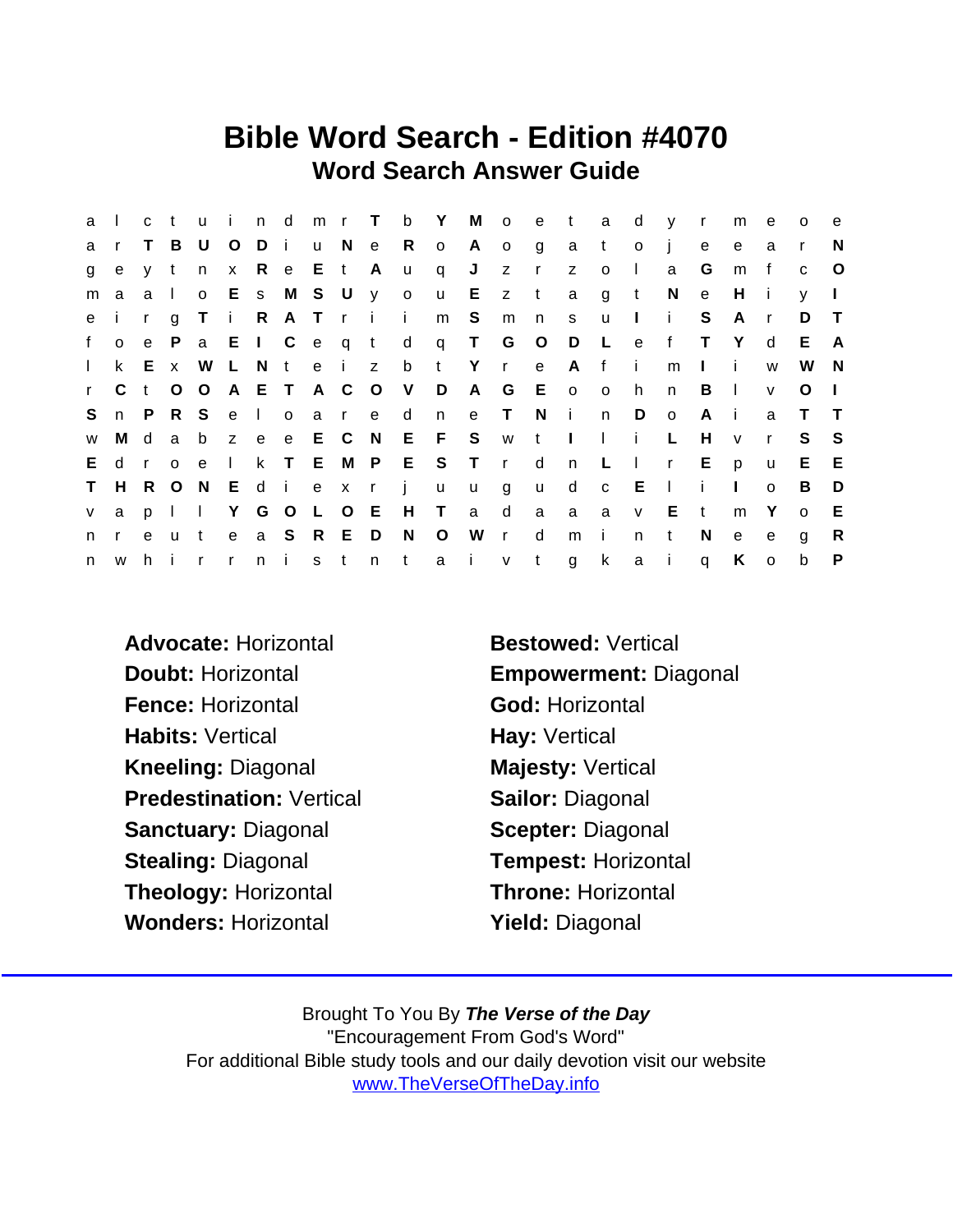## Bible Word Search - Edition #4070 Word Search Answer Guide

| a            | $\perp$      | c t          |              |              | u i n d      |       |               |       | mr T          |              | b Y          |              |         | M o e t a    |              |                | $\mathsf{d}$ | y r          |              | m            | e            | $\circ$      | e            |
|--------------|--------------|--------------|--------------|--------------|--------------|-------|---------------|-------|---------------|--------------|--------------|--------------|---------|--------------|--------------|----------------|--------------|--------------|--------------|--------------|--------------|--------------|--------------|
| a            | $\mathsf{r}$ | T.           | B            | U            | $\circ$      | Di    |               |       |               | u N e R o    |              | A.           | $\circ$ | g            | a t          |                | $\circ$      | $\mathbf{j}$ | e            | $\mathbf{e}$ | a            | $\mathsf{r}$ | N            |
| g            | e            | y t          |              | n            |              |       | x R e E t A   |       |               | <b>u</b>     | q            | J            |         | $Z \qquad r$ | Z            | $\circ$        | $\Box$       | a            | G            | m            | $\mathbf{f}$ | C            | $\circ$      |
| m            | a            | a            | $\sim 1$ .   | $\mathsf{o}$ |              |       |               |       | E s M S U y o |              | $\mathsf{u}$ |              | $E$ z t |              | $\mathsf{a}$ | $\overline{g}$ | $-t$         | N            | e            | H            | - I -        | V            | $\mathbf{L}$ |
| e            | j.           | $\mathsf{r}$ | $\mathbf{q}$ | T.           | i R          |       |               |       | ATri          | $\mathbf{i}$ | m            | S            | m       | n            | S            | <b>u</b>       | $\mathbf{L}$ | $\mathbf{i}$ | S            | A            | $\mathsf{r}$ | D            | $\top$       |
| f            | $\mathsf{o}$ |              | e P          |              |              |       | a E I C e q t |       |               |              |              | d q T G O    |         |              | $\Box$       | $\mathsf{L}$   | $\mathbf{e}$ | f            | $\top$       | Y            | d            | E.           | A            |
| $\mathbf{L}$ | k.           |              | E x          | W            |              | L N t |               |       | e i z         |              |              | b t Y r      |         | e            | A f          |                | $\mathbf{i}$ | m            | $\mathbf{L}$ | -i-          | W            | W            | <b>N</b>     |
| $\mathbf{r}$ | C.           | t O          |              | $\circ$      |              |       | A E T A C O   |       |               | V            | D            | A            | G       | E o o        |              |                | h.           | n            | B            | $\Box$       | $\mathsf{v}$ | $\circ$      | $\Box$       |
| S.           |              | n P          | R S          |              |              | e I o |               | a r e |               | d            | n            | e T          |         | N            | $\sim 1$ .   | n              | D            | $\circ$      | A            | - i -        | a            | $\top$       | $\top$       |
| W            | M d          |              | a            |              |              |       | b z e e E C N |       |               |              |              | EFS wtlli    |         |              |              |                |              | L.           | H            | $\mathsf{V}$ | $\mathbf{r}$ | S.           | - S          |
| E.           | d            | $\mathsf{r}$ | $\Omega$     | $\mathbf{e}$ | $\mathbf{1}$ |       | k T E M P     |       |               |              |              | E S T r d    |         |              | n L          |                | $\mathbb{R}$ | $\mathsf{r}$ | E            | p            | $\mathsf{u}$ | E.           | E            |
| $\mathsf T$  | H            | R O          |              | N.           |              |       |               |       | Ediexrj       |              | $\mathsf{u}$ | $\mathsf{u}$ | g       | <b>u</b>     | d c E        |                |              | $\sim 1$     | j.           | $\mathbf{L}$ | $\Omega$     | B            | D            |
| V            | a            |              | $p \mid$     | $\mathbf{I}$ |              |       | Y G O L O E   |       |               | H T          |              | a            | d       | a            | a            | a              | $\mathsf{V}$ | E            | $\mathbf{t}$ | m            | Y            | $\circ$      | Е            |
| n.           | $\mathsf{r}$ | e u          |              | t            |              |       | e a S R E D   |       |               | N.           | $\circ$      | W r          |         | d            | m            | $\mathbf{I}$   | n.           | $\mathbf{t}$ | N.           | e            | e            | g            | R            |
| n            | <b>W</b>     | h            | - i          | $\mathsf{r}$ | $\mathsf{r}$ |       | $n$ i         |       | s t n t       |              |              | a i          | $v$ t   |              | g            | k              | a i          |              | $\mathsf{q}$ | K            | $\mathsf{o}$ | $\mathsf b$  | P            |

- Advocate: Horizontal Bestowed: Vertical Fence: Horizontal God: Horizontal Habits: Vertical **Hay: Vertical** Kneeling: Diagonal Majesty: Vertical Predestination: Vertical Sailor: Diagonal Sanctuary: Diagonal Scepter: Diagonal Stealing: Diagonal Tempest: Horizontal Theology: Horizontal Throne: Horizontal Wonders: Horizontal **Yield: Diagonal**
- Doubt: Horizontal Empowerment: Diagonal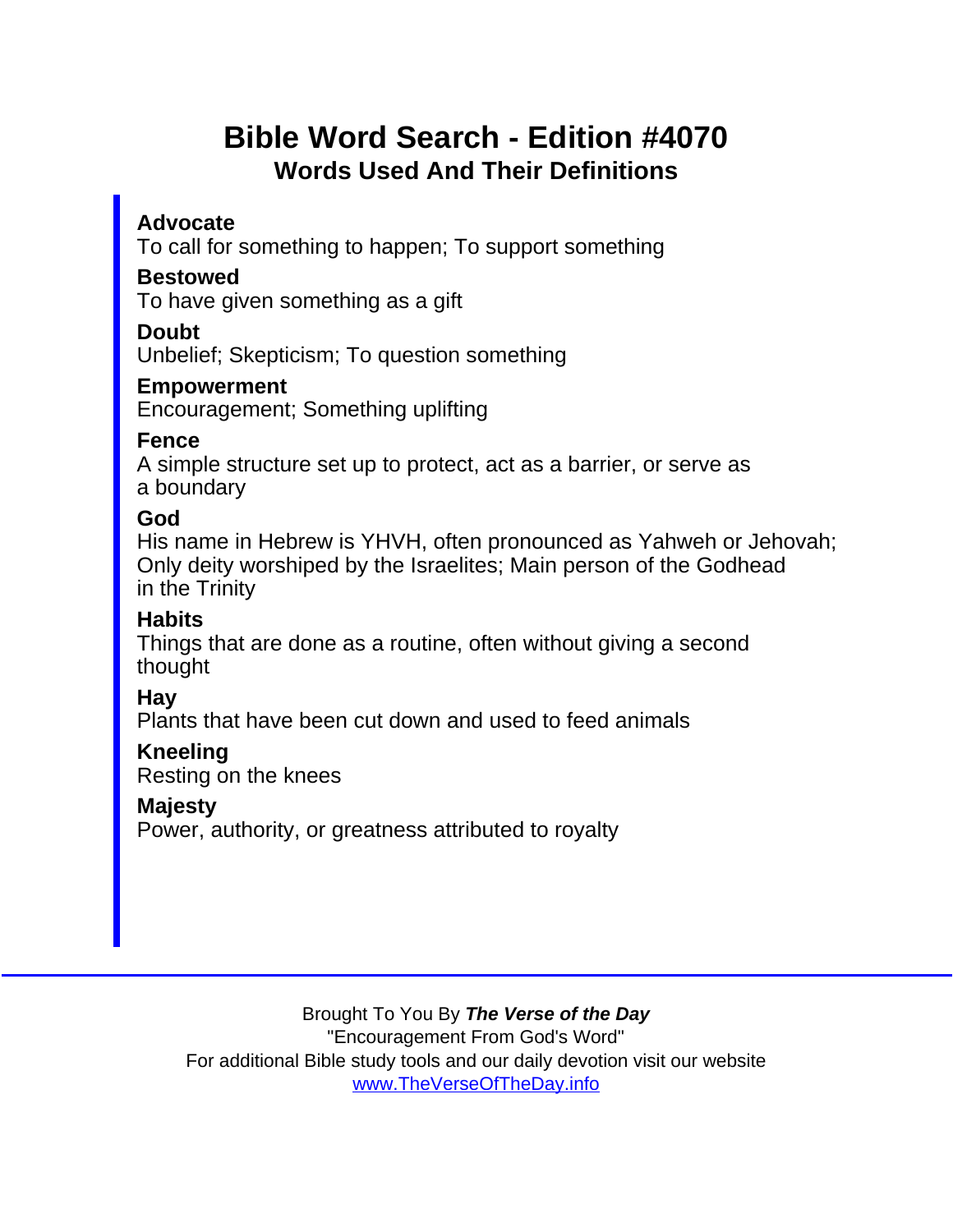## Bible Word Search - Edition #4070 Words Used And Their Definitions

Advocate

To call for something to happen; To support something

Bestowed

To have given something as a gift

Doubt

Unbelief; Skepticism; To question something

Empowerment

Encouragement; Something uplifting

Fence

A simple structure set up to protect, act as a barrier, or serve as a boundary

God

His name in Hebrew is YHVH, often pronounced as Yahweh or Jehovah; Only deity worshiped by the Israelites; Main person of the Godhead in the Trinity

Habits

Things that are done as a routine, often without giving a second thought

Hay

Plants that have been cut down and used to feed animals

Kneeling Resting on the knees

Majesty

Power, authority, or greatness attributed to royalty